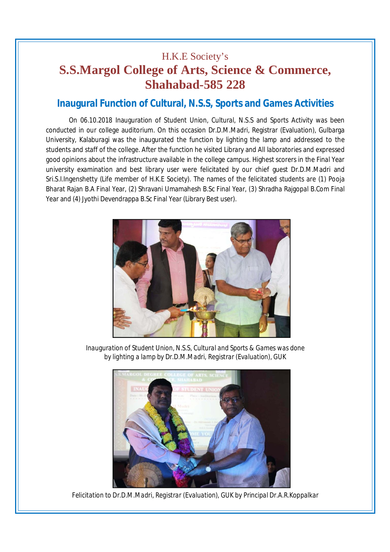## H.K.E Society's **S.S.Margol College of Arts, Science & Commerce, Shahabad-585 228**

## **Inaugural Function of Cultural, N.S.S, Sports and Games Activities**

On 06.10.2018 Inauguration of Student Union, Cultural, N.S.S and Sports Activity was been conducted in our college auditorium. On this occasion Dr.D.M.Madri, Registrar (Evaluation), Gulbarga University, Kalaburagi was the inaugurated the function by lighting the lamp and addressed to the students and staff of the college. After the function he visited Library and All laboratories and expressed good opinions about the infrastructure available in the college campus. Highest scorers in the Final Year university examination and best library user were felicitated by our chief guest Dr.D.M.Madri and Sri.S.I.Ingenshetty (Life member of H.K.E Society). The names of the felicitated students are (1) Pooja Bharat Rajan B.A Final Year, (2) Shravani Umamahesh B.Sc Final Year, (3) Shradha Rajgopal B.Com Final Year and (4) Jyothi Devendrappa B.Sc Final Year (Library Best user).



*Inauguration of Student Union, N.S.S, Cultural and Sports & Games was done by lighting a lamp by Dr.D.M.Madri, Registrar (Evaluation), GUK*



*Felicitation to Dr.D.M.Madri, Registrar (Evaluation), GUK by Principal Dr.A.R.Koppalkar*